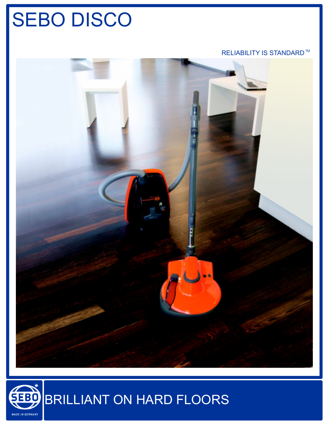# SEBO DISCO

#### RELIABILITY IS STANDARD™



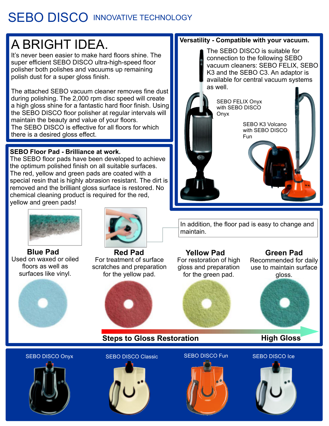### SEBO DISCO INNOVATIVE TECHNOLOGY

## A BRIGHT IDEA.

It's never been easier to make hard floors shine. The super efficient SEBO DISCO ultra-high-speed floor polisher both polishes and vacuums up remaining polish dust for a super gloss finish.

The attached SEBO vacuum cleaner removes fine dust during polishing. The 2,000 rpm disc speed will create a high gloss shine for a fantastic hard floor finish. Using the SEBO DISCO floor polisher at regular intervals will maintain the beauty and value of your floors. The SEBO DISCO is effective for all floors for which there is a desired gloss effect.

#### **SEBO Floor Pad - Brilliance at work.**

The SEBO floor pads have been developed to achieve the optimum polished finish on all suitable surfaces. The red, yellow and green pads are coated with a special resin that is highly abrasion resistant. The dirt is removed and the brilliant gloss surface is restored. No chemical cleaning product is required for the red, yellow and green pads!



Used on waxed or oiled floors as well as surfaces like vinyl. **Blue Pad**





For treatment of surface scratches and preparation for the yellow pad.





**Steps to Gloss Restoration by High Gloss** 

#### SEBO DISCO Onyx SEBO DISCO Classic SEBO DISCO Fun SEBO DISCO Ice



### **Versatility - Compatible with your vacuum.**

The SEBO DISCO is suitable for connection to the following SEBO vacuum cleaners: SEBO FELIX, SEBO K3 and the SEBO C3. An adaptor is available for central vacuum systems as well.



In addition, the floor pad is easy to change and maintain.

#### **Red Pad Yellow Pad Green Pad** For restoration of high gloss and preparation for the green pad.

Recommended for daily use to maintain surface gloss.



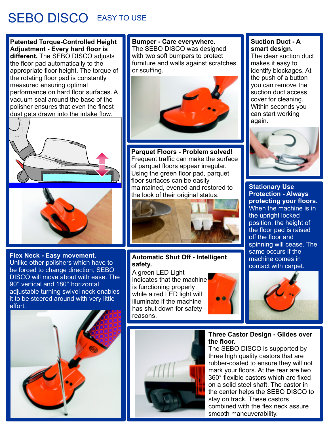### SEBO DISCO EASY TO USE

**Patented Torque-Controlled Height Adjustment - Every hard floor is different.** The SEBO DISCO adjusts the floor pad automatically to the appropriate floor height. The torque of the rotating floor pad is constantly measured ensuring optimal performance on hard floor surfaces. A vacuum seal around the base of the polisher ensures that even the finest dust gets drawn into the intake flow.





**Flex Neck - Easy movement.** Unlike other polishers which have to be forced to change direction, SEBO DISCO will move about with ease. The 90° vertical and 180° horizontal adjustable turning swivel neck enables it to be steered around with very little effort.



**Bumper - Care everywhere.** The SEBO DISCO was designed with two soft bumpers to protect furniture and walls against scratches or scuffing.



**Parquet Floors - Problem solved!** Frequent traffic can make the surface of parquet floors appear irregular. Using the green floor pad, parquet floor surfaces can be easily maintained, evened and restored to the look of their original status.



#### **Automatic Shut Off - Intelligent safety.**

A green LED Light indicates that the machine is functioning properly while a red LED light will illuminate if the machine has shut down for safety reasons.





#### **Three Castor Design - Glides over the floor.**

The SEBO DISCO is supported by three high quality castors that are rubber-coated to ensure they will not mark your floors. At the rear are two 360° flexible castors which are fixed on a solid steel shaft. The castor in the center helps the SEBO DISCO to stay on track. These castors combined with the flex neck assure smooth maneuverability.



#### **Suction Duct - A smart design.**

The clear suction duct makes it easy to identify blockages. At the push of a button you can remove the suction duct access cover for cleaning. Within seconds you can start working again.



**Stationary Use Protection - Always protecting your floors.** When the machine is in the upright locked position, the height of the floor pad is raised off the floor and spinning will cease. The same occurs if the